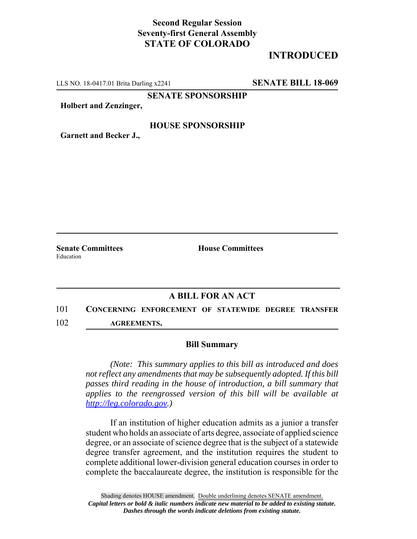## **Second Regular Session Seventy-first General Assembly STATE OF COLORADO**

# **INTRODUCED**

LLS NO. 18-0417.01 Brita Darling x2241 **SENATE BILL 18-069**

**SENATE SPONSORSHIP**

**Holbert and Zenzinger,**

#### **HOUSE SPONSORSHIP**

**Garnett and Becker J.,**

Education

**Senate Committees House Committees** 

### **A BILL FOR AN ACT**

101 **CONCERNING ENFORCEMENT OF STATEWIDE DEGREE TRANSFER** 102 **AGREEMENTS.**

#### **Bill Summary**

*(Note: This summary applies to this bill as introduced and does not reflect any amendments that may be subsequently adopted. If this bill passes third reading in the house of introduction, a bill summary that applies to the reengrossed version of this bill will be available at http://leg.colorado.gov.)*

If an institution of higher education admits as a junior a transfer student who holds an associate of arts degree, associate of applied science degree, or an associate of science degree that is the subject of a statewide degree transfer agreement, and the institution requires the student to complete additional lower-division general education courses in order to complete the baccalaureate degree, the institution is responsible for the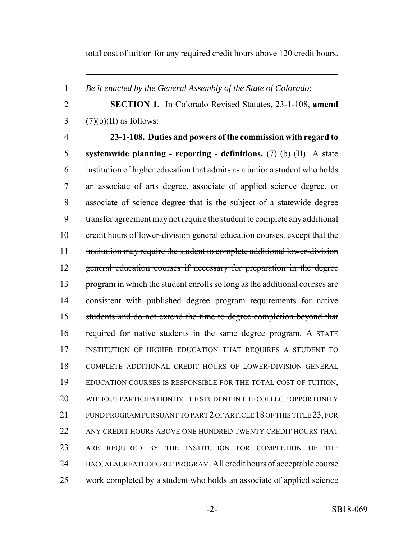total cost of tuition for any required credit hours above 120 credit hours.

- *Be it enacted by the General Assembly of the State of Colorado:*
- **SECTION 1.** In Colorado Revised Statutes, 23-1-108, **amend**  $3 \qquad (7)(b)(II)$  as follows:
- 

 **23-1-108. Duties and powers of the commission with regard to systemwide planning - reporting - definitions.** (7) (b) (II) A state institution of higher education that admits as a junior a student who holds an associate of arts degree, associate of applied science degree, or associate of science degree that is the subject of a statewide degree transfer agreement may not require the student to complete any additional 10 credit hours of lower-division general education courses. except that the institution may require the student to complete additional lower-division general education courses if necessary for preparation in the degree program in which the student enrolls so long as the additional courses are consistent with published degree program requirements for native students and do not extend the time to degree completion beyond that required for native students in the same degree program. A STATE INSTITUTION OF HIGHER EDUCATION THAT REQUIRES A STUDENT TO COMPLETE ADDITIONAL CREDIT HOURS OF LOWER-DIVISION GENERAL EDUCATION COURSES IS RESPONSIBLE FOR THE TOTAL COST OF TUITION, WITHOUT PARTICIPATION BY THE STUDENT IN THE COLLEGE OPPORTUNITY FUND PROGRAM PURSUANT TO PART 2 OF ARTICLE 18 OF THIS TITLE 23, FOR 22 ANY CREDIT HOURS ABOVE ONE HUNDRED TWENTY CREDIT HOURS THAT ARE REQUIRED BY THE INSTITUTION FOR COMPLETION OF THE BACCALAUREATE DEGREE PROGRAM. All credit hours of acceptable course work completed by a student who holds an associate of applied science